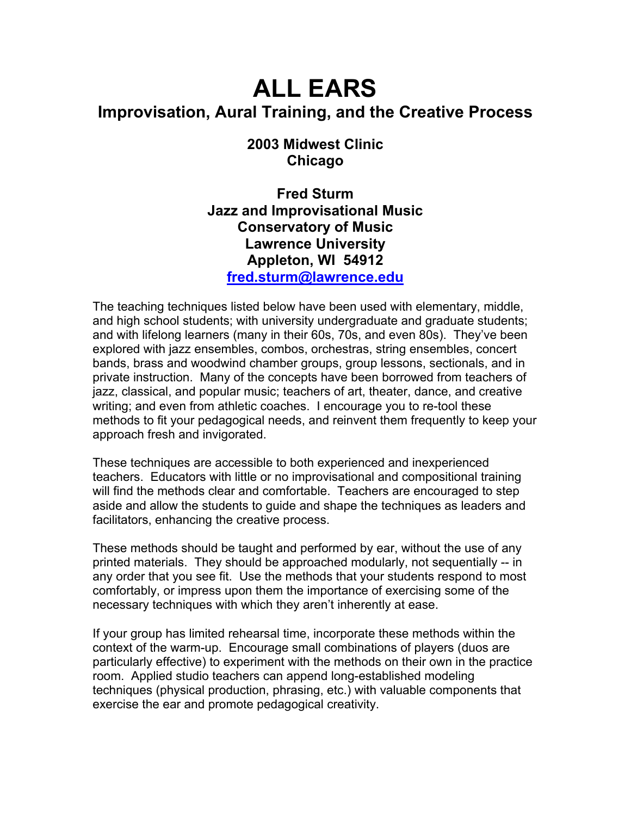# **ALL EARS Improvisation, Aural Training, and the Creative Process**

# **2003 Midwest Clinic Chicago**

**Fred Sturm Jazz and Improvisational Music Conservatory of Music Lawrence University Appleton, WI 54912 fred.sturm@lawrence.edu**

The teaching techniques listed below have been used with elementary, middle, and high school students; with university undergraduate and graduate students; and with lifelong learners (many in their 60s, 70s, and even 80s). They've been explored with jazz ensembles, combos, orchestras, string ensembles, concert bands, brass and woodwind chamber groups, group lessons, sectionals, and in private instruction. Many of the concepts have been borrowed from teachers of jazz, classical, and popular music; teachers of art, theater, dance, and creative writing; and even from athletic coaches. I encourage you to re-tool these methods to fit your pedagogical needs, and reinvent them frequently to keep your approach fresh and invigorated.

These techniques are accessible to both experienced and inexperienced teachers. Educators with little or no improvisational and compositional training will find the methods clear and comfortable. Teachers are encouraged to step aside and allow the students to guide and shape the techniques as leaders and facilitators, enhancing the creative process.

These methods should be taught and performed by ear, without the use of any printed materials. They should be approached modularly, not sequentially -- in any order that you see fit. Use the methods that your students respond to most comfortably, or impress upon them the importance of exercising some of the necessary techniques with which they aren't inherently at ease.

If your group has limited rehearsal time, incorporate these methods within the context of the warm-up. Encourage small combinations of players (duos are particularly effective) to experiment with the methods on their own in the practice room. Applied studio teachers can append long-established modeling techniques (physical production, phrasing, etc.) with valuable components that exercise the ear and promote pedagogical creativity.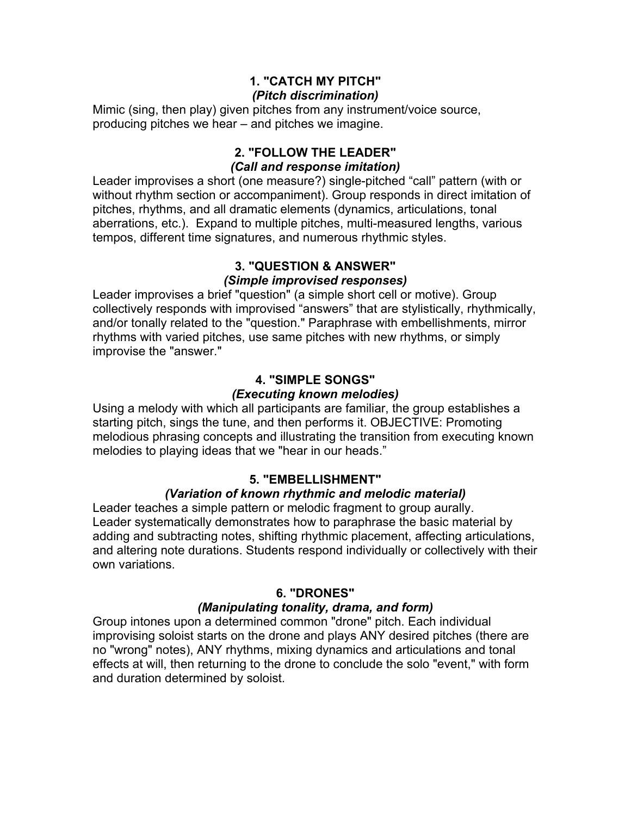#### **1. "CATCH MY PITCH"**  *(Pitch discrimination)*

Mimic (sing, then play) given pitches from any instrument/voice source, producing pitches we hear – and pitches we imagine.

## **2. "FOLLOW THE LEADER"**  *(Call and response imitation)*

Leader improvises a short (one measure?) single-pitched "call" pattern (with or without rhythm section or accompaniment). Group responds in direct imitation of pitches, rhythms, and all dramatic elements (dynamics, articulations, tonal aberrations, etc.). Expand to multiple pitches, multi-measured lengths, various tempos, different time signatures, and numerous rhythmic styles.

#### **3. "QUESTION & ANSWER"**  *(Simple improvised responses)*

Leader improvises a brief "question" (a simple short cell or motive). Group collectively responds with improvised "answers" that are stylistically, rhythmically, and/or tonally related to the "question." Paraphrase with embellishments, mirror rhythms with varied pitches, use same pitches with new rhythms, or simply improvise the "answer."

# **4. "SIMPLE SONGS"**

# *(Executing known melodies)*

Using a melody with which all participants are familiar, the group establishes a starting pitch, sings the tune, and then performs it. OBJECTIVE: Promoting melodious phrasing concepts and illustrating the transition from executing known melodies to playing ideas that we "hear in our heads."

# **5. "EMBELLISHMENT"**

# *(Variation of known rhythmic and melodic material)*

Leader teaches a simple pattern or melodic fragment to group aurally. Leader systematically demonstrates how to paraphrase the basic material by adding and subtracting notes, shifting rhythmic placement, affecting articulations, and altering note durations. Students respond individually or collectively with their own variations.

# **6. "DRONES"**

# *(Manipulating tonality, drama, and form)*

Group intones upon a determined common "drone" pitch. Each individual improvising soloist starts on the drone and plays ANY desired pitches (there are no "wrong" notes), ANY rhythms, mixing dynamics and articulations and tonal effects at will, then returning to the drone to conclude the solo "event," with form and duration determined by soloist.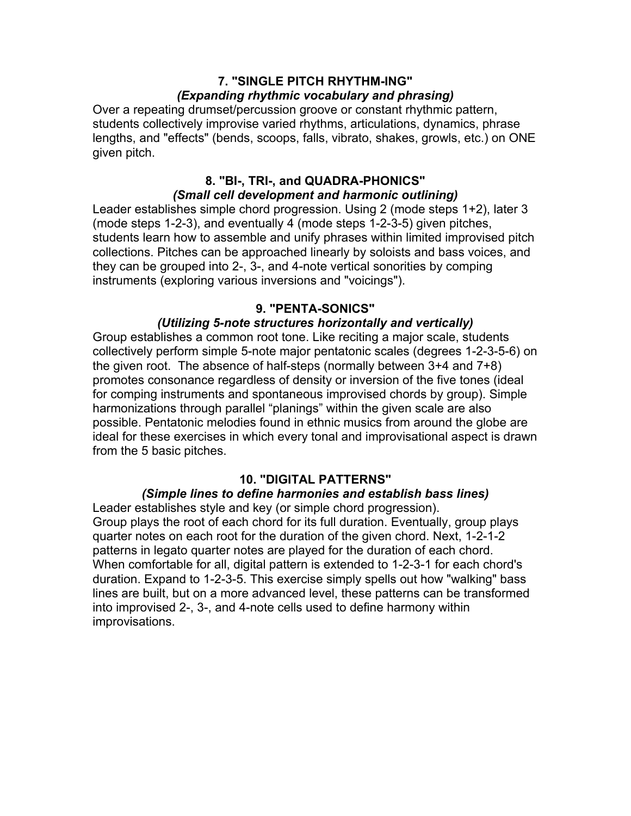#### **7. "SINGLE PITCH RHYTHM-ING"**  *(Expanding rhythmic vocabulary and phrasing)*

Over a repeating drumset/percussion groove or constant rhythmic pattern, students collectively improvise varied rhythms, articulations, dynamics, phrase lengths, and "effects" (bends, scoops, falls, vibrato, shakes, growls, etc.) on ONE given pitch.

## **8. "BI-, TRI-, and QUADRA-PHONICS"**  *(Small cell development and harmonic outlining)*

Leader establishes simple chord progression. Using 2 (mode steps 1+2), later 3 (mode steps 1-2-3), and eventually 4 (mode steps 1-2-3-5) given pitches, students learn how to assemble and unify phrases within limited improvised pitch collections. Pitches can be approached linearly by soloists and bass voices, and they can be grouped into 2-, 3-, and 4-note vertical sonorities by comping instruments (exploring various inversions and "voicings").

## **9. "PENTA-SONICS"**

## *(Utilizing 5-note structures horizontally and vertically)*

Group establishes a common root tone. Like reciting a major scale, students collectively perform simple 5-note major pentatonic scales (degrees 1-2-3-5-6) on the given root. The absence of half-steps (normally between 3+4 and 7+8) promotes consonance regardless of density or inversion of the five tones (ideal for comping instruments and spontaneous improvised chords by group). Simple harmonizations through parallel "planings" within the given scale are also possible. Pentatonic melodies found in ethnic musics from around the globe are ideal for these exercises in which every tonal and improvisational aspect is drawn from the 5 basic pitches.

## **10. "DIGITAL PATTERNS"**

#### *(Simple lines to define harmonies and establish bass lines)*

Leader establishes style and key (or simple chord progression). Group plays the root of each chord for its full duration. Eventually, group plays quarter notes on each root for the duration of the given chord. Next, 1-2-1-2 patterns in legato quarter notes are played for the duration of each chord. When comfortable for all, digital pattern is extended to 1-2-3-1 for each chord's duration. Expand to 1-2-3-5. This exercise simply spells out how "walking" bass lines are built, but on a more advanced level, these patterns can be transformed into improvised 2-, 3-, and 4-note cells used to define harmony within improvisations.